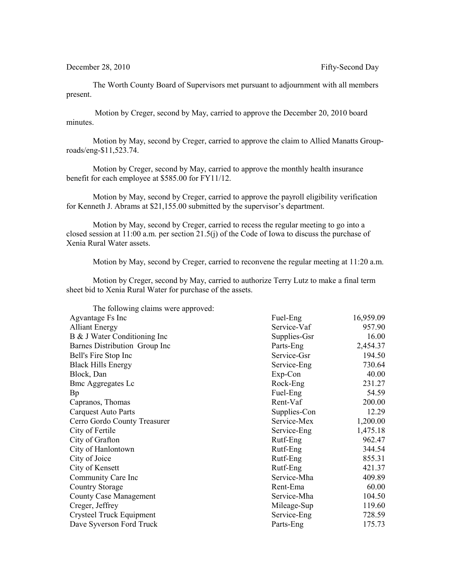December 28, 2010 Fifty-Second Day

The Worth County Board of Supervisors met pursuant to adjournment with all members present.

 Motion by Creger, second by May, carried to approve the December 20, 2010 board minutes.

Motion by May, second by Creger, carried to approve the claim to Allied Manatts Grouproads/eng-\$11,523.74.

Motion by Creger, second by May, carried to approve the monthly health insurance benefit for each employee at \$585.00 for FY11/12.

Motion by May, second by Creger, carried to approve the payroll eligibility verification for Kenneth J. Abrams at \$21,155.00 submitted by the supervisor's department.

Motion by May, second by Creger, carried to recess the regular meeting to go into a closed session at 11:00 a.m. per section 21.5(j) of the Code of Iowa to discuss the purchase of Xenia Rural Water assets.

Motion by May, second by Creger, carried to reconvene the regular meeting at 11:20 a.m.

Motion by Creger, second by May, carried to authorize Terry Lutz to make a final term sheet bid to Xenia Rural Water for purchase of the assets.

| The following claims were approved: |              |           |
|-------------------------------------|--------------|-----------|
| Agvantage Fs Inc                    | Fuel-Eng     | 16,959.09 |
| <b>Alliant Energy</b>               | Service-Vaf  | 957.90    |
| B & J Water Conditioning Inc        | Supplies-Gsr | 16.00     |
| Barnes Distribution Group Inc       | Parts-Eng    | 2,454.37  |
| Bell's Fire Stop Inc                | Service-Gsr  | 194.50    |
| <b>Black Hills Energy</b>           | Service-Eng  | 730.64    |
| Block, Dan                          | Exp-Con      | 40.00     |
| <b>Bmc Aggregates Lc</b>            | Rock-Eng     | 231.27    |
| Bp                                  | Fuel-Eng     | 54.59     |
| Capranos, Thomas                    | Rent-Vaf     | 200.00    |
| <b>Carquest Auto Parts</b>          | Supplies-Con | 12.29     |
| Cerro Gordo County Treasurer        | Service-Mex  | 1,200.00  |
| City of Fertile                     | Service-Eng  | 1,475.18  |
| City of Grafton                     | Rutf-Eng     | 962.47    |
| City of Hanlontown                  | Rutf-Eng     | 344.54    |
| City of Joice                       | Rutf-Eng     | 855.31    |
| City of Kensett                     | Rutf-Eng     | 421.37    |
| Community Care Inc                  | Service-Mha  | 409.89    |
| <b>Country Storage</b>              | Rent-Ema     | 60.00     |
| <b>County Case Management</b>       | Service-Mha  | 104.50    |
| Creger, Jeffrey                     | Mileage-Sup  | 119.60    |
| Crysteel Truck Equipment            | Service-Eng  | 728.59    |
| Dave Syverson Ford Truck            | Parts-Eng    | 175.73    |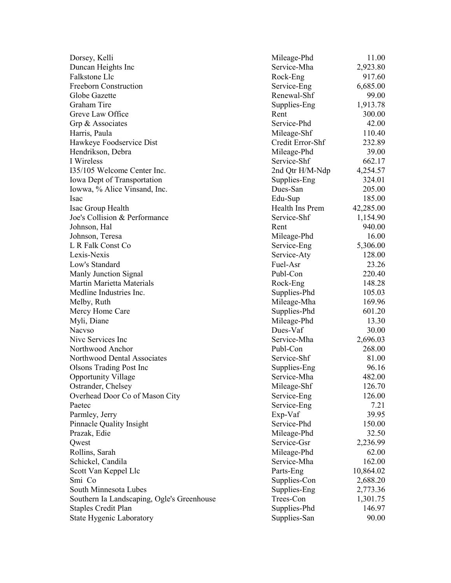| Dorsey, Kelli                              | Mileage-Phd      | 11.00     |
|--------------------------------------------|------------------|-----------|
| Duncan Heights Inc                         | Service-Mha      | 2,923.80  |
| Falkstone Llc                              | Rock-Eng         | 917.60    |
| Freeborn Construction                      | Service-Eng      | 6,685.00  |
| Globe Gazette                              | Renewal-Shf      | 99.00     |
| Graham Tire                                | Supplies-Eng     | 1,913.78  |
| Greve Law Office                           | Rent             | 300.00    |
| Grp & Associates                           | Service-Phd      | 42.00     |
| Harris, Paula                              | Mileage-Shf      | 110.40    |
| Hawkeye Foodservice Dist                   | Credit Error-Shf | 232.89    |
| Hendrikson, Debra                          | Mileage-Phd      | 39.00     |
| I Wireless                                 | Service-Shf      | 662.17    |
| 135/105 Welcome Center Inc.                | 2nd Qtr H/M-Ndp  | 4,254.57  |
| Iowa Dept of Transportation                | Supplies-Eng     | 324.01    |
| Iowwa, % Alice Vinsand, Inc.               | Dues-San         | 205.00    |
| Isac                                       | Edu-Sup          | 185.00    |
| Isac Group Health                          | Health Ins Prem  | 42,285.00 |
| Joe's Collision & Performance              | Service-Shf      | 1,154.90  |
| Johnson, Hal                               | Rent             | 940.00    |
| Johnson, Teresa                            | Mileage-Phd      | 16.00     |
| L R Falk Const Co                          | Service-Eng      | 5,306.00  |
| Lexis-Nexis                                | Service-Aty      | 128.00    |
| Low's Standard                             | Fuel-Asr         | 23.26     |
| Manly Junction Signal                      | Publ-Con         | 220.40    |
| Martin Marietta Materials                  | Rock-Eng         | 148.28    |
| Medline Industries Inc.                    | Supplies-Phd     | 105.03    |
| Melby, Ruth                                | Mileage-Mha      | 169.96    |
| Mercy Home Care                            | Supplies-Phd     | 601.20    |
| Myli, Diane                                | Mileage-Phd      | 13.30     |
| <b>Nacyso</b>                              | Dues-Vaf         | 30.00     |
| Nive Services Inc                          | Service-Mha      | 2,696.03  |
| Northwood Anchor                           | Publ-Con         | 268.00    |
| Northwood Dental Associates                | Service-Shf      | 81.00     |
| <b>Olsons Trading Post Inc.</b>            | Supplies-Eng     | 96.16     |
| <b>Opportunity Village</b>                 | Service-Mha      | 482.00    |
| Ostrander, Chelsey                         | Mileage-Shf      | 126.70    |
| Overhead Door Co of Mason City             | Service-Eng      | 126.00    |
| Paetec                                     | Service-Eng      | 7.21      |
| Parmley, Jerry                             | Exp-Vaf          | 39.95     |
| Pinnacle Quality Insight                   | Service-Phd      | 150.00    |
| Prazak, Edie                               | Mileage-Phd      | 32.50     |
| Qwest                                      | Service-Gsr      | 2,236.99  |
| Rollins, Sarah                             | Mileage-Phd      | 62.00     |
| Schickel, Candila                          | Service-Mha      | 162.00    |
| Scott Van Keppel Llc                       | Parts-Eng        | 10,864.02 |
| Smi Co                                     | Supplies-Con     | 2,688.20  |
| South Minnesota Lubes                      | Supplies-Eng     | 2,773.36  |
| Southern Ia Landscaping, Ogle's Greenhouse | Trees-Con        | 1,301.75  |
| <b>Staples Credit Plan</b>                 | Supplies-Phd     | 146.97    |
| <b>State Hygenic Laboratory</b>            | Supplies-San     | 90.00     |
|                                            |                  |           |